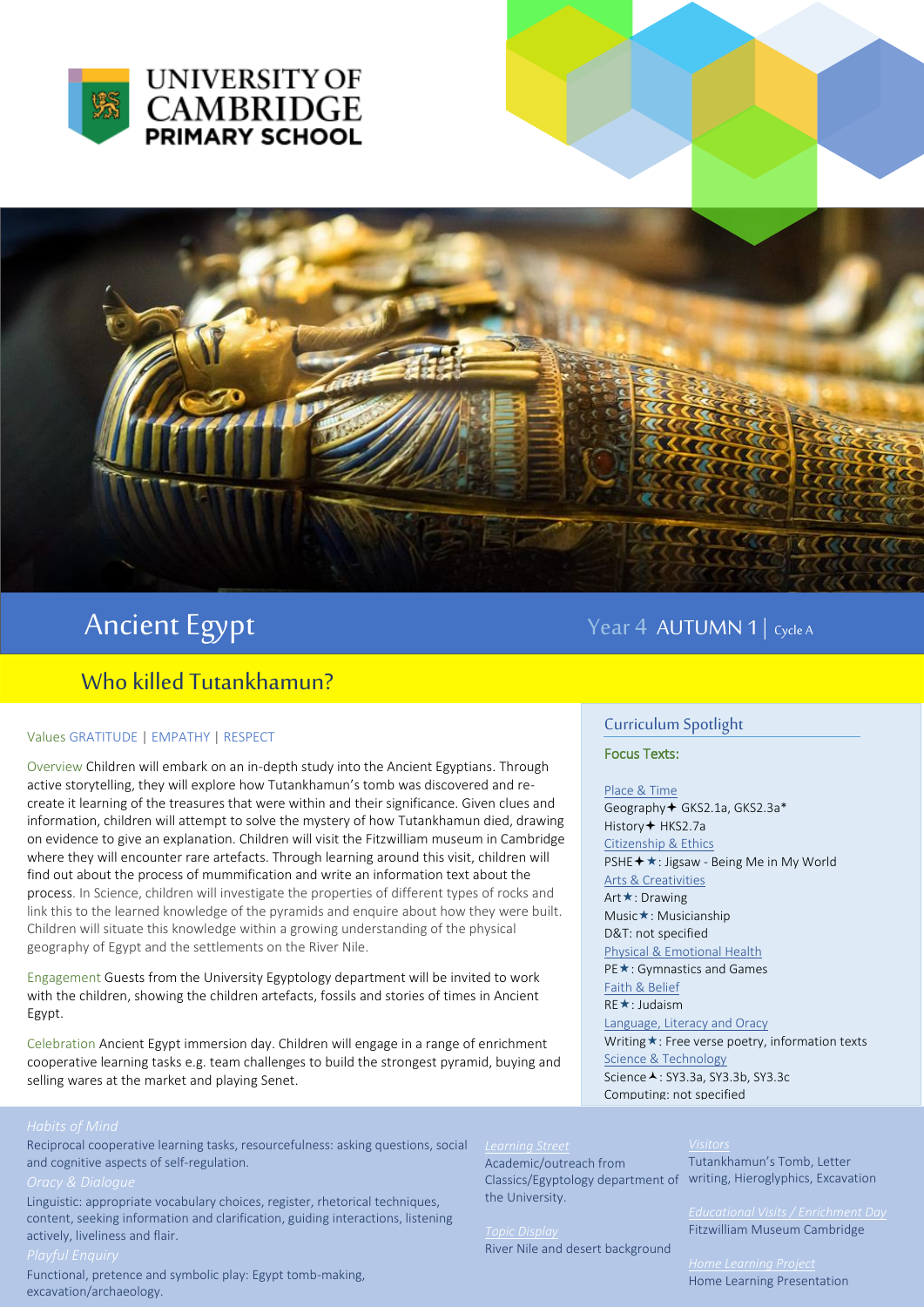



# Ancient Egypt Year 4 AUTUMN 1 | Cycle A

## Who killed Tutankhamun?

### Values GRATITUDE | EMPATHY | RESPECT

Overview Children will embark on an in-depth study into the Ancient Egyptians. Through active storytelling, they will explore how Tutankhamun's tomb was discovered and recreate it learning of the treasures that were within and their significance. Given clues and information, children will attempt to solve the mystery of how Tutankhamun died, drawing on evidence to give an explanation. Children will visit the Fitzwilliam museum in Cambridge where they will encounter rare artefacts. Through learning around this visit, children will find out about the process of mummification and write an information text about the process. In Science, children will investigate the properties of different types of rocks and link this to the learned knowledge of the pyramids and enquire about how they were built. Children will situate this knowledge within a growing understanding of the physical geography of Egypt and the settlements on the River Nile.

Engagement Guests from the University Egyptology department will be invited to work with the children, showing the children artefacts, fossils and stories of times in Ancient Egypt.

Celebration Ancient Egypt immersion day. Children will engage in a range of enrichment cooperative learning tasks e.g. team challenges to build the strongest pyramid, buying and selling wares at the market and playing Senet.

### Curriculum Spotlight

Focus Texts:

Place & Time Geography GKS2.1a, GKS2.3a\* History + HKS2.7a Citizenship & Ethics PSHE **+ ★** : Jigsaw - Being Me in My World Arts & Creativities Art **★**: Drawing Music**\***: Musicianship D&T: not specified Physical & Emotional Health PE★: Gymnastics and Games Faith & Belief RE **★**: Judaism Language, Literacy and Oracy Writing  $\star$ : Free verse poetry, information texts Science & Technology Science A: SY3.3a, SY3.3b, SY3.3c Computing: not specified

Classics/Egyptology department of writing, Hieroglyphics, Excavation Tutankhamun's Tomb, Letter

Fitzwilliam Museum Cambridge

River Nile and desert background

the University.

*Home Learning Project*  Home Learning Presentation

Reciprocal cooperative learning tasks, resourcefulness: asking questions, social and cognitive aspects of self-regulation.

Linguistic: appropriate vocabulary choices, register, rhetorical techniques, content, seeking information and clarification, guiding interactions, listening actively, liveliness and flair.

Functional, pretence and symbolic play: Egypt tomb-making, excavation/archaeology.

Academic/outreach from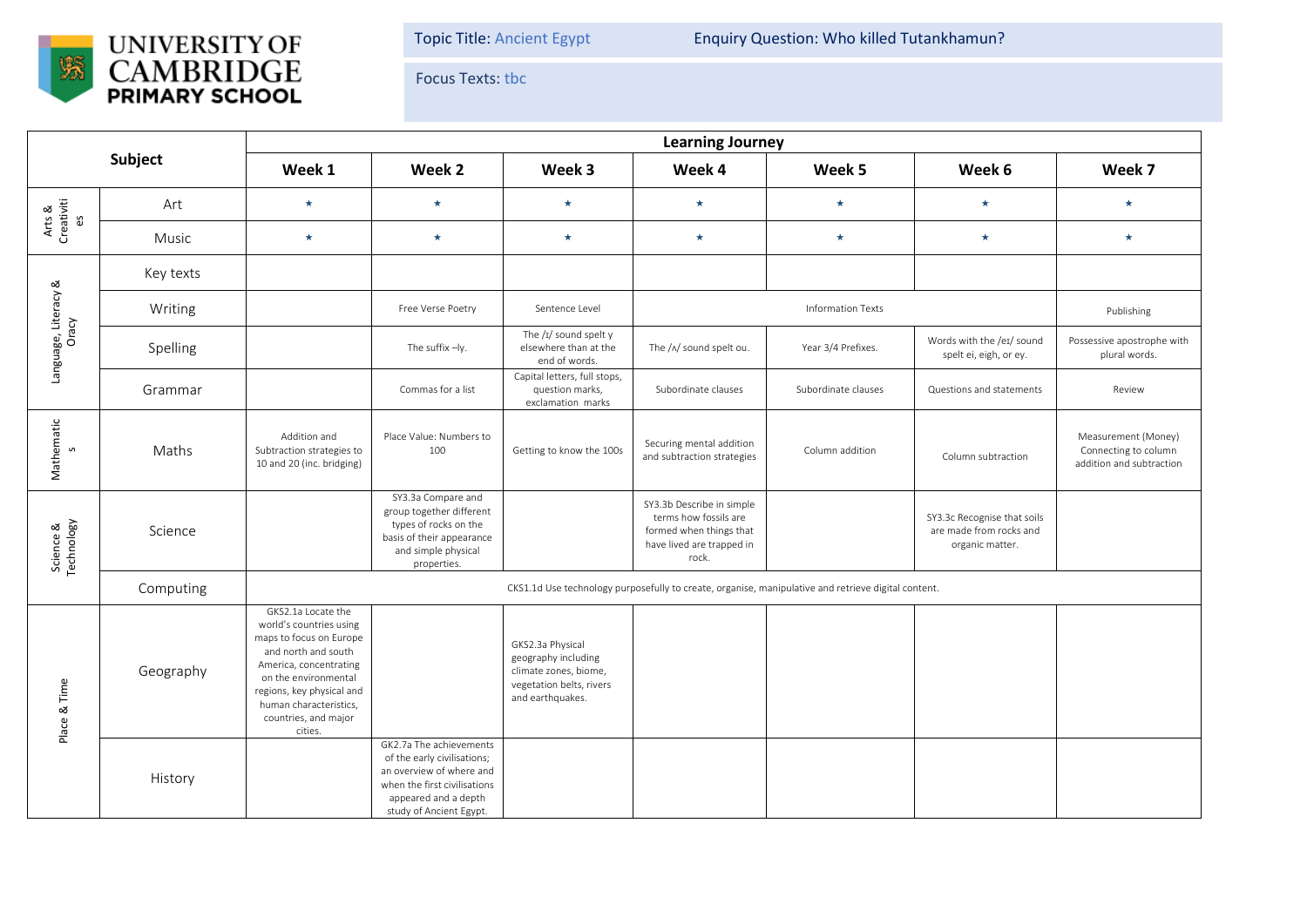

Topic Title: Ancient Egypt Enquiry Question: Who killed Tutankhamun?

Focus Texts: tbc

| Subject                       |           | <b>Learning Journey</b>                                                                                                                                                                                                                     |                                                                                                                                                                       |                                                                                                                  |                                                                                                                     |                     |                                                                           |                                                                         |  |  |
|-------------------------------|-----------|---------------------------------------------------------------------------------------------------------------------------------------------------------------------------------------------------------------------------------------------|-----------------------------------------------------------------------------------------------------------------------------------------------------------------------|------------------------------------------------------------------------------------------------------------------|---------------------------------------------------------------------------------------------------------------------|---------------------|---------------------------------------------------------------------------|-------------------------------------------------------------------------|--|--|
|                               |           | Week 1                                                                                                                                                                                                                                      | Week 2                                                                                                                                                                | Week 3                                                                                                           | Week 4                                                                                                              | Week 5              | Week 6                                                                    | Week 7                                                                  |  |  |
| Arts &<br>Creativiti<br>es    | Art       | $\star$                                                                                                                                                                                                                                     | $\star$                                                                                                                                                               | $\star$                                                                                                          | $\star$                                                                                                             | $\star$             | $\star$                                                                   | $\star$                                                                 |  |  |
|                               | Music     | $\star$                                                                                                                                                                                                                                     | $\star$                                                                                                                                                               | $\star$                                                                                                          | $\star$                                                                                                             | $\star$             | $\star$                                                                   | $\star$                                                                 |  |  |
| Language, Literacy &<br>Oracy | Key texts |                                                                                                                                                                                                                                             |                                                                                                                                                                       |                                                                                                                  |                                                                                                                     |                     |                                                                           |                                                                         |  |  |
|                               | Writing   |                                                                                                                                                                                                                                             | Free Verse Poetry                                                                                                                                                     | Sentence Level                                                                                                   | <b>Information Texts</b>                                                                                            |                     |                                                                           | Publishing                                                              |  |  |
|                               | Spelling  |                                                                                                                                                                                                                                             | The suffix -ly.                                                                                                                                                       | The $/I/$ sound spelt y<br>elsewhere than at the<br>end of words.                                                | The /^/ sound spelt ou.                                                                                             | Year 3/4 Prefixes.  | Words with the /eɪ/ sound<br>spelt ei, eigh, or ey.                       | Possessive apostrophe with<br>plural words.                             |  |  |
|                               | Grammar   |                                                                                                                                                                                                                                             | Commas for a list                                                                                                                                                     | Capital letters, full stops,<br>question marks,<br>exclamation marks                                             | Subordinate clauses                                                                                                 | Subordinate clauses | Questions and statements                                                  | Review                                                                  |  |  |
| Mathematic<br>s               | Maths     | Addition and<br>Subtraction strategies to<br>10 and 20 (inc. bridging)                                                                                                                                                                      | Place Value: Numbers to<br>100                                                                                                                                        | Getting to know the 100s                                                                                         | Securing mental addition<br>and subtraction strategies                                                              | Column addition     | Column subtraction                                                        | Measurement (Money)<br>Connecting to column<br>addition and subtraction |  |  |
| Science &<br>Technology       | Science   |                                                                                                                                                                                                                                             | SY3.3a Compare and<br>group together different<br>types of rocks on the<br>basis of their appearance<br>and simple physical<br>properties.                            |                                                                                                                  | SY3.3b Describe in simple<br>terms how fossils are<br>formed when things that<br>have lived are trapped in<br>rock. |                     | SY3.3c Recognise that soils<br>are made from rocks and<br>organic matter. |                                                                         |  |  |
|                               | Computing | CKS1.1d Use technology purposefully to create, organise, manipulative and retrieve digital content.                                                                                                                                         |                                                                                                                                                                       |                                                                                                                  |                                                                                                                     |                     |                                                                           |                                                                         |  |  |
| Place & Time                  | Geography | GKS2.1a Locate the<br>world's countries using<br>maps to focus on Europe<br>and north and south<br>America, concentrating<br>on the environmental<br>regions, key physical and<br>human characteristics,<br>countries, and major<br>cities. |                                                                                                                                                                       | GKS2.3a Physical<br>geography including<br>climate zones, biome,<br>vegetation belts, rivers<br>and earthquakes. |                                                                                                                     |                     |                                                                           |                                                                         |  |  |
|                               | History   |                                                                                                                                                                                                                                             | GK2.7a The achievements<br>of the early civilisations;<br>an overview of where and<br>when the first civilisations<br>appeared and a depth<br>study of Ancient Egypt. |                                                                                                                  |                                                                                                                     |                     |                                                                           |                                                                         |  |  |